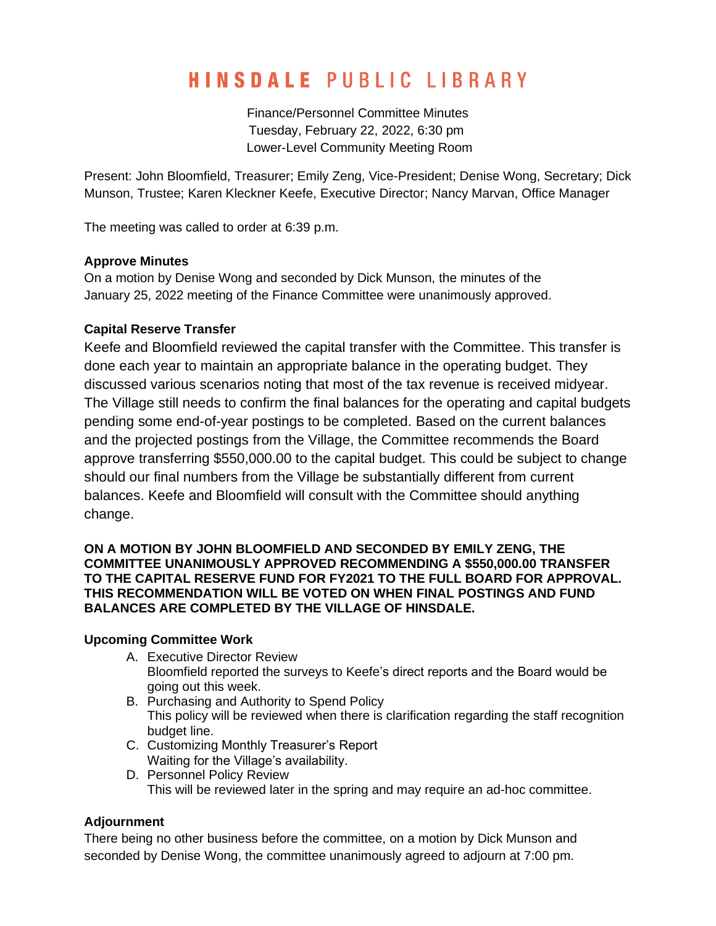# **HINSDALE PUBLIC LIBRARY**

Finance/Personnel Committee Minutes Tuesday, February 22, 2022, 6:30 pm Lower-Level Community Meeting Room

Present: John Bloomfield, Treasurer; Emily Zeng, Vice-President; Denise Wong, Secretary; Dick Munson, Trustee; Karen Kleckner Keefe, Executive Director; Nancy Marvan, Office Manager

The meeting was called to order at 6:39 p.m.

## **Approve Minutes**

On a motion by Denise Wong and seconded by Dick Munson, the minutes of the January 25, 2022 meeting of the Finance Committee were unanimously approved.

## **Capital Reserve Transfer**

Keefe and Bloomfield reviewed the capital transfer with the Committee. This transfer is done each year to maintain an appropriate balance in the operating budget. They discussed various scenarios noting that most of the tax revenue is received midyear. The Village still needs to confirm the final balances for the operating and capital budgets pending some end-of-year postings to be completed. Based on the current balances and the projected postings from the Village, the Committee recommends the Board approve transferring \$550,000.00 to the capital budget. This could be subject to change should our final numbers from the Village be substantially different from current balances. Keefe and Bloomfield will consult with the Committee should anything change.

#### **ON A MOTION BY JOHN BLOOMFIELD AND SECONDED BY EMILY ZENG, THE COMMITTEE UNANIMOUSLY APPROVED RECOMMENDING A \$550,000.00 TRANSFER TO THE CAPITAL RESERVE FUND FOR FY2021 TO THE FULL BOARD FOR APPROVAL. THIS RECOMMENDATION WILL BE VOTED ON WHEN FINAL POSTINGS AND FUND BALANCES ARE COMPLETED BY THE VILLAGE OF HINSDALE.**

#### **Upcoming Committee Work**

- A. Executive Director Review
	- Bloomfield reported the surveys to Keefe's direct reports and the Board would be going out this week.
- B. Purchasing and Authority to Spend Policy This policy will be reviewed when there is clarification regarding the staff recognition budget line.
- C. Customizing Monthly Treasurer's Report Waiting for the Village's availability.
- D. Personnel Policy Review This will be reviewed later in the spring and may require an ad-hoc committee.

## **Adjournment**

There being no other business before the committee, on a motion by Dick Munson and seconded by Denise Wong, the committee unanimously agreed to adjourn at 7:00 pm.